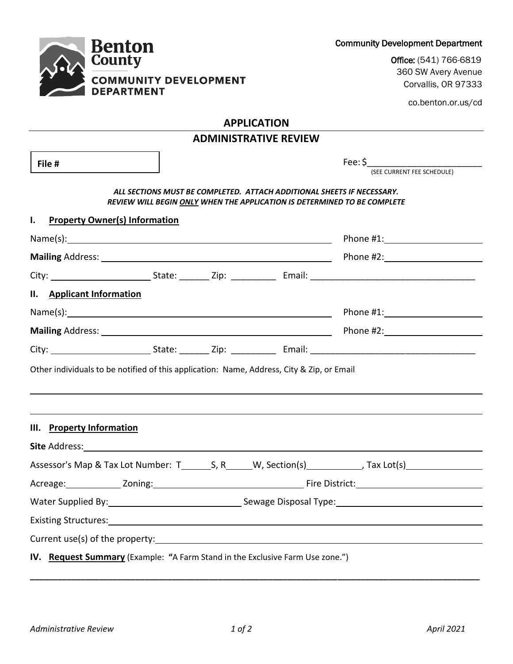| <b>Benton</b><br><b>County</b>                                                            |                              | <b>Community Development Department</b>                                                                                                            |
|-------------------------------------------------------------------------------------------|------------------------------|----------------------------------------------------------------------------------------------------------------------------------------------------|
|                                                                                           |                              | Office: (541) 766-6819                                                                                                                             |
| <b>COMMUNITY DEVELOPMENT</b><br><b>DEPARTMENT</b>                                         |                              | 360 SW Avery Avenue<br>Corvallis, OR 97333                                                                                                         |
|                                                                                           |                              | co.benton.or.us/cd                                                                                                                                 |
|                                                                                           | <b>APPLICATION</b>           |                                                                                                                                                    |
|                                                                                           | <b>ADMINISTRATIVE REVIEW</b> |                                                                                                                                                    |
| File #                                                                                    |                              | $\mathsf{Fee:} \mathsf{S}$<br>(SEE CURRENT FEE SCHEDULE)                                                                                           |
|                                                                                           |                              | ALL SECTIONS MUST BE COMPLETED. ATTACH ADDITIONAL SHEETS IF NECESSARY.<br>REVIEW WILL BEGIN ONLY WHEN THE APPLICATION IS DETERMINED TO BE COMPLETE |
| L.<br><b>Property Owner(s) Information</b>                                                |                              |                                                                                                                                                    |
|                                                                                           |                              |                                                                                                                                                    |
|                                                                                           |                              |                                                                                                                                                    |
|                                                                                           |                              |                                                                                                                                                    |
| II. Applicant Information                                                                 |                              |                                                                                                                                                    |
|                                                                                           |                              | Phone #1: Phone #1:                                                                                                                                |
|                                                                                           |                              |                                                                                                                                                    |
|                                                                                           |                              |                                                                                                                                                    |
| Other individuals to be notified of this application: Name, Address, City & Zip, or Email |                              |                                                                                                                                                    |
| III. Property Information                                                                 |                              |                                                                                                                                                    |
|                                                                                           |                              |                                                                                                                                                    |
|                                                                                           |                              | Assessor's Map & Tax Lot Number: T________S, R______W, Section(s)_____________, Tax Lot(s)___________________                                      |
|                                                                                           |                              |                                                                                                                                                    |
|                                                                                           |                              | Water Supplied By: 1997 [19] Sewage Disposal Type: 1998 [19] Sewage Disposal Type:                                                                 |
|                                                                                           |                              |                                                                                                                                                    |
|                                                                                           |                              |                                                                                                                                                    |
|                                                                                           |                              |                                                                                                                                                    |
| IV. Request Summary (Example: "A Farm Stand in the Exclusive Farm Use zone.")             |                              |                                                                                                                                                    |

## Community Development Department

**\_\_\_\_\_\_\_\_\_\_\_\_\_\_\_\_\_\_\_\_\_\_\_\_\_\_\_\_\_\_\_\_\_\_\_\_\_\_\_\_\_\_\_\_\_\_\_\_\_\_\_\_\_\_\_\_\_\_\_\_\_\_\_\_\_\_\_\_\_\_\_\_\_\_\_\_\_\_\_\_\_\_\_\_\_\_\_\_\_\_\_\_\_\_\_\_\_\_**